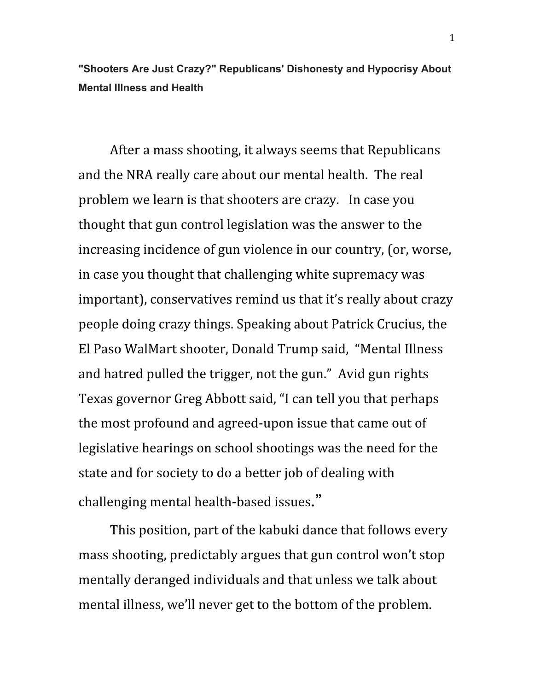**"Shooters Are Just Crazy?" Republicans' Dishonesty and Hypocrisy About Mental Illness and Health**

After a mass shooting, it always seems that Republicans and the NRA really care about our mental health. The real problem we learn is that shooters are crazy. In case you thought that gun control legislation was the answer to the increasing incidence of gun violence in our country, (or, worse, in case you thought that challenging white supremacy was important), conservatives remind us that it's really about crazy people doing crazy things. Speaking about Patrick Crucius, the El Paso WalMart shooter, Donald Trump said, "Mental Illness and hatred pulled the trigger, not the gun." Avid gun rights Texas governor Greg Abbott said, "I can tell you that perhaps the most profound and agreed-upon issue that came out of legislative hearings on school shootings was the need for the state and for society to do a better job of dealing with challenging mental health-based issues."

This position, part of the kabuki dance that follows every mass shooting, predictably argues that gun control won't stop mentally deranged individuals and that unless we talk about mental illness, we'll never get to the bottom of the problem.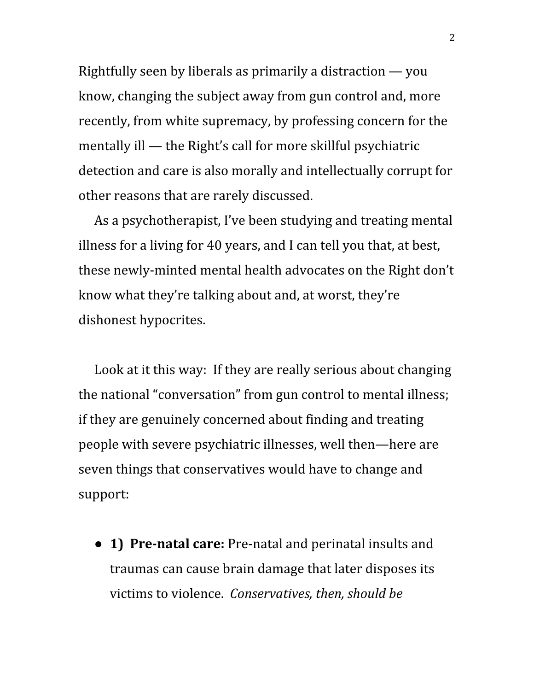Rightfully seen by liberals as primarily a distraction — you know, changing the subject away from gun control and, more recently, from white supremacy, by professing concern for the mentally ill — the Right's call for more skillful psychiatric detection and care is also morally and intellectually corrupt for other reasons that are rarely discussed.

As a psychotherapist, I've been studying and treating mental illness for a living for 40 years, and I can tell you that, at best, these newly-minted mental health advocates on the Right don't know what they're talking about and, at worst, they're dishonest hypocrites.

Look at it this way: If they are really serious about changing the national "conversation" from gun control to mental illness; if they are genuinely concerned about finding and treating people with severe psychiatric illnesses, well then—here are seven things that conservatives would have to change and support:

● **1) Pre-natal care:** Pre-natal and perinatal insults and traumas can cause brain damage that later disposes its victims to violence. *Conservatives, then, should be*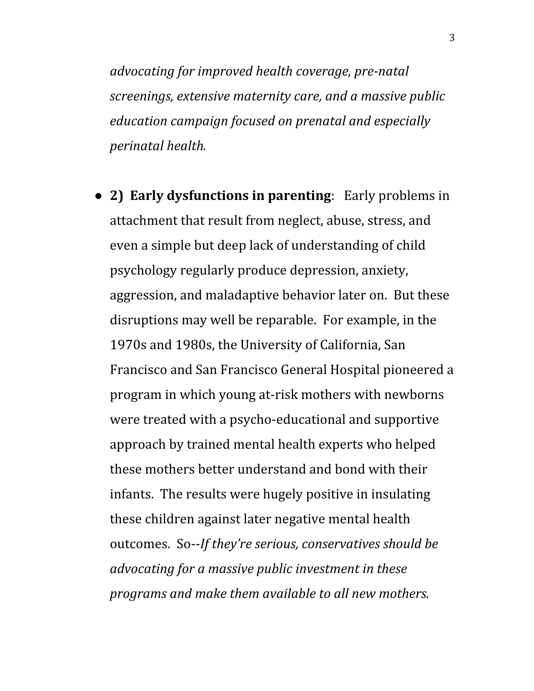*advocating for improved health coverage, pre-natal screenings, extensive maternity care, and a massive public education campaign focused on prenatal and especially perinatal health.*

● **2) Early dysfunctions in parenting**: Early problems in attachment that result from neglect, abuse, stress, and even a simple but deep lack of understanding of child psychology regularly produce depression, anxiety, aggression, and maladaptive behavior later on. But these disruptions may well be reparable. For example, in the 1970s and 1980s, the University of California, San Francisco and San Francisco General Hospital pioneered a program in which young at-risk mothers with newborns were treated with a psycho-educational and supportive approach by trained mental health experts who helped these mothers better understand and bond with their infants. The results were hugely positive in insulating these children against later negative mental health outcomes. So--*If they're serious, conservatives should be advocating for a massive public investment in these programs and make them available to all new mothers.*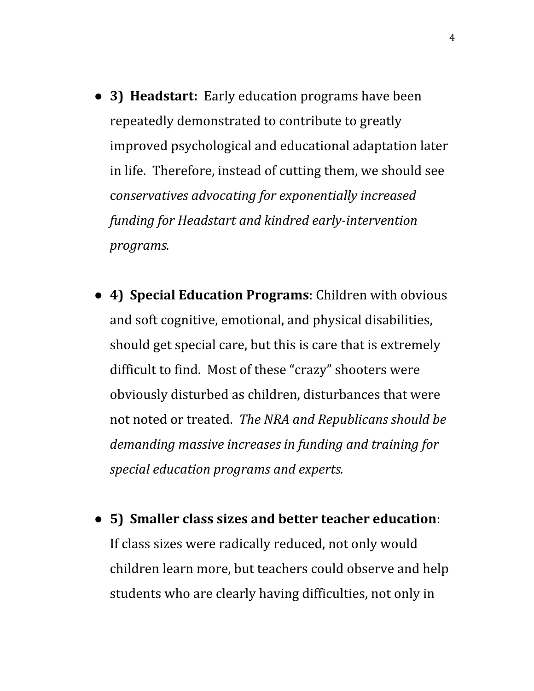- **3) Headstart:** Early education programs have been repeatedly demonstrated to contribute to greatly improved psychological and educational adaptation later in life. Therefore, instead of cutting them, we should see c*onservatives advocating for exponentially increased funding for Headstart and kindred early-intervention programs.*
- **4) Special Education Programs**: Children with obvious and soft cognitive, emotional, and physical disabilities, should get special care, but this is care that is extremely difficult to find. Most of these "crazy" shooters were obviously disturbed as children, disturbances that were not noted or treated. *The NRA and Republicans should be demanding massive increases in funding and training for special education programs and experts.*
- **5) Smaller class sizes and better teacher education**: If class sizes were radically reduced, not only would children learn more, but teachers could observe and help students who are clearly having difficulties, not only in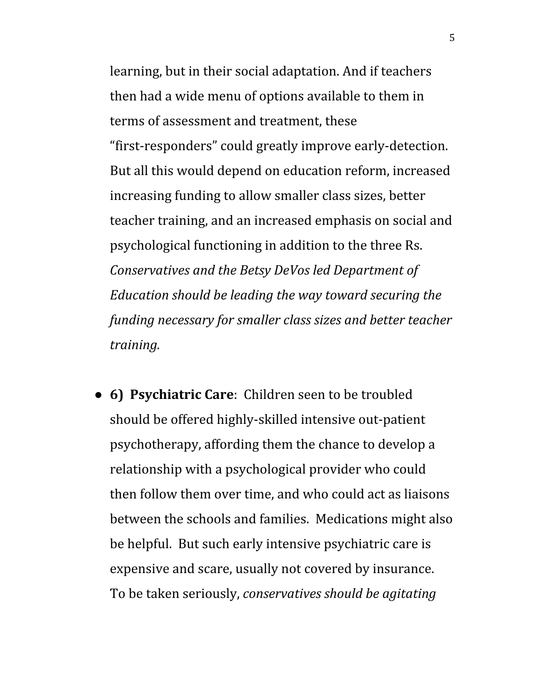learning, but in their social adaptation. And if teachers then had a wide menu of options available to them in terms of assessment and treatment, these "first-responders" could greatly improve early-detection. But all this would depend on education reform, increased increasing funding to allow smaller class sizes, better teacher training, and an increased emphasis on social and psychological functioning in addition to the three Rs. *Conservatives and the Betsy DeVos led Department of Education should be leading the way toward securing the funding necessary for smaller class sizes and better teacher training.*

● **6) Psychiatric Care**: Children seen to be troubled should be offered highly-skilled intensive out-patient psychotherapy, affording them the chance to develop a relationship with a psychological provider who could then follow them over time, and who could act as liaisons between the schools and families. Medications might also be helpful. But such early intensive psychiatric care is expensive and scare, usually not covered by insurance. To be taken seriously, *conservatives should be agitating*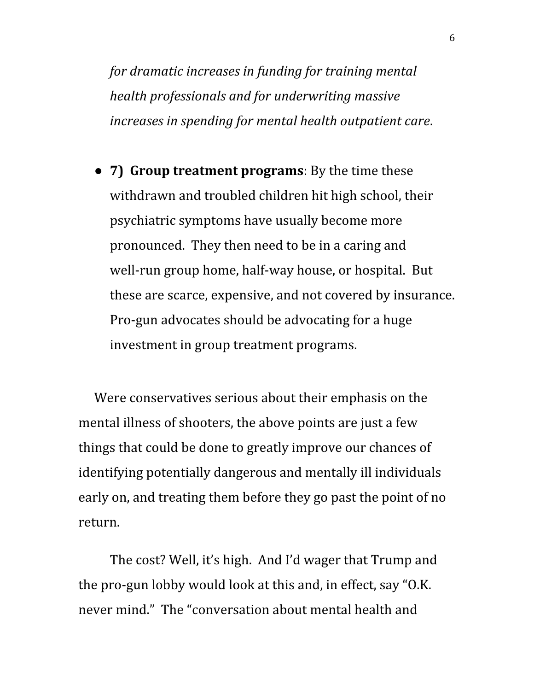*for dramatic increases in funding for training mental health professionals and for underwriting massive increases in spending for mental health outpatient care*.

● **7) Group treatment programs**: By the time these withdrawn and troubled children hit high school, their psychiatric symptoms have usually become more pronounced. They then need to be in a caring and well-run group home, half-way house, or hospital. But these are scarce, expensive, and not covered by insurance. Pro-gun advocates should be advocating for a huge investment in group treatment programs.

Were conservatives serious about their emphasis on the mental illness of shooters, the above points are just a few things that could be done to greatly improve our chances of identifying potentially dangerous and mentally ill individuals early on, and treating them before they go past the point of no return.

The cost? Well, it's high. And I'd wager that Trump and the pro-gun lobby would look at this and, in effect, say "O.K. never mind." The "conversation about mental health and